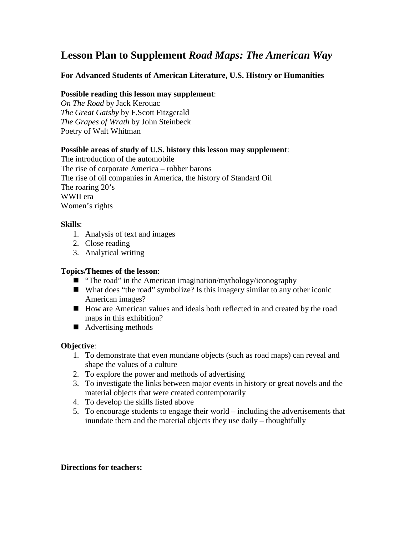# **Lesson Plan to Supplement** *Road Maps: The American Way*

# **For Advanced Students of American Literature, U.S. History or Humanities**

#### **Possible reading this lesson may supplement**:

*On The Road* by Jack Kerouac *The Great Gatsby* by F.Scott Fitzgerald *The Grapes of Wrath* by John Steinbeck Poetry of Walt Whitman

#### **Possible areas of study of U.S. history this lesson may supplement**:

The introduction of the automobile The rise of corporate America – robber barons The rise of oil companies in America, the history of Standard Oil The roaring 20's WWII era Women's rights

### **Skills**:

- 1. Analysis of text and images
- 2. Close reading
- 3. Analytical writing

# **Topics/Themes of the lesson**:

- "The road" in the American imagination/mythology/iconography
- What does "the road" symbolize? Is this imagery similar to any other iconic American images?
- How are American values and ideals both reflected in and created by the road maps in this exhibition?
- Advertising methods

# **Objective**:

- 1. To demonstrate that even mundane objects (such as road maps) can reveal and shape the values of a culture
- 2. To explore the power and methods of advertising
- 3. To investigate the links between major events in history or great novels and the material objects that were created contemporarily
- 4. To develop the skills listed above
- 5. To encourage students to engage their world including the advertisements that inundate them and the material objects they use daily – thoughtfully

#### **Directions for teachers:**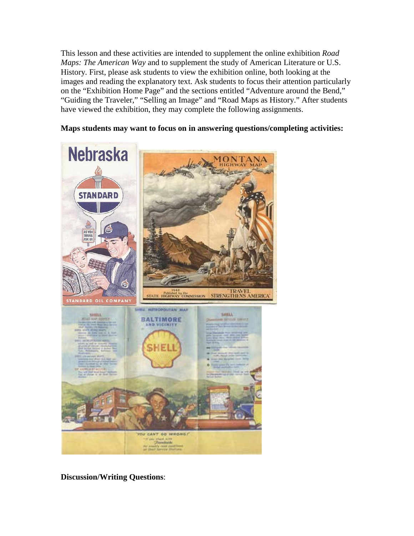This lesson and these activities are intended to supplement the online exhibition *Road Maps: The American Way* and to supplement the study of American Literature or U.S. History. First, please ask students to view the exhibition online, both looking at the images and reading the explanatory text. Ask students to focus their attention particularly on the "Exhibition Home Page" and the sections entitled "Adventure around the Bend," "Guiding the Traveler," "Selling an Image" and "Road Maps as History." After students have viewed the exhibition, they may complete the following assignments.

# **Maps students may want to focus on in answering questions/completing activities:**



**Discussion/Writing Questions**: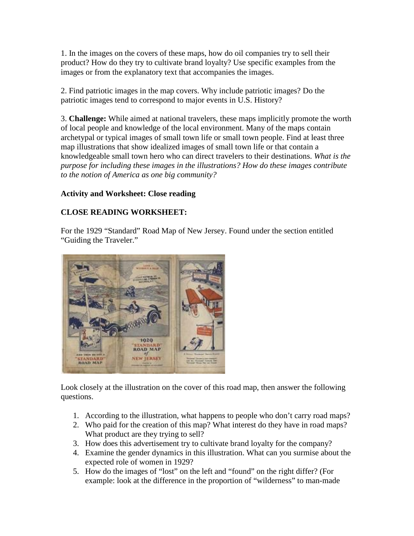1. In the images on the covers of these maps, how do oil companies try to sell their product? How do they try to cultivate brand loyalty? Use specific examples from the images or from the explanatory text that accompanies the images.

2. Find patriotic images in the map covers. Why include patriotic images? Do the patriotic images tend to correspond to major events in U.S. History?

3. **Challenge:** While aimed at national travelers, these maps implicitly promote the worth of local people and knowledge of the local environment. Many of the maps contain archetypal or typical images of small town life or small town people. Find at least three map illustrations that show idealized images of small town life or that contain a knowledgeable small town hero who can direct travelers to their destinations. *What is the purpose for including these images in the illustrations? How do these images contribute to the notion of America as one big community?* 

# **Activity and Worksheet: Close reading**

# **CLOSE READING WORKSHEET:**

For the 1929 "Standard" Road Map of New Jersey. Found under the section entitled "Guiding the Traveler."



Look closely at the illustration on the cover of this road map, then answer the following questions.

- 1. According to the illustration, what happens to people who don't carry road maps?
- 2. Who paid for the creation of this map? What interest do they have in road maps? What product are they trying to sell?
- 3. How does this advertisement try to cultivate brand loyalty for the company?
- 4. Examine the gender dynamics in this illustration. What can you surmise about the expected role of women in 1929?
- 5. How do the images of "lost" on the left and "found" on the right differ? (For example: look at the difference in the proportion of "wilderness" to man-made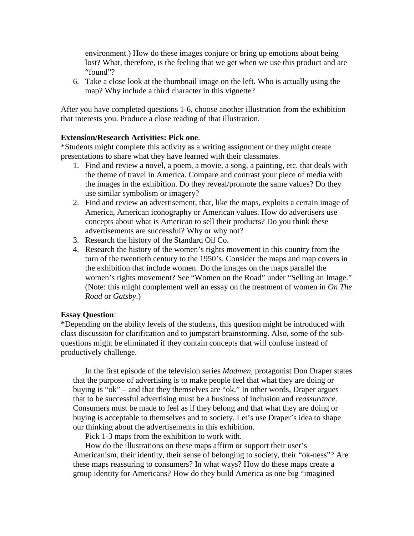environment.) How do these images conjure or bring up emotions about being lost? What, therefore, is the feeling that we get when we use this product and are "found"?

6. Take a close look at the thumbnail image on the left. Who is actually using the map? Why include a third character in this vignette?

After you have completed questions 1-6, choose another illustration from the exhibition that interests you. Produce a close reading of that illustration.

#### **Extension/Research Activities: Pick one**.

\*Students might complete this activity as a writing assignment or they might create presentations to share what they have learned with their classmates.

- 1. Find and review a novel, a poem, a movie, a song, a painting, etc. that deals with the theme of travel in America. Compare and contrast your piece of media with the images in the exhibition. Do they reveal/promote the same values? Do they use similar symbolism or imagery?
- 2. Find and review an advertisement, that, like the maps, exploits a certain image of America, American iconography or American values. How do advertisers use concepts about what is American to sell their products? Do you think these advertisements are successful? Why or why not?
- 3. Research the history of the Standard Oil Co.
- 4. Research the history of the women's rights movement in this country from the turn of the twentieth century to the 1950's. Consider the maps and map covers in the exhibition that include women. Do the images on the maps parallel the women's rights movement? See "Women on the Road" under "Selling an Image." (Note: this might complement well an essay on the treatment of women in *On The Road* or *Gatsby*.)

#### **Essay Question**:

\*Depending on the ability levels of the students, this question might be introduced with class discussion for clarification and to jumpstart brainstorming. Also, some of the subquestions might be eliminated if they contain concepts that will confuse instead of productively challenge.

In the first episode of the television series *Madmen,* protagonist Don Draper states that the purpose of advertising is to make people feel that what they are doing or buying is "ok" – and that they themselves are "ok." In other words, Draper argues that to be successful advertising must be a business of inclusion and *reassurance*. Consumers must be made to feel as if they belong and that what they are doing or buying is acceptable to themselves and to society. Let's use Draper's idea to shape our thinking about the advertisements in this exhibition.

Pick 1-3 maps from the exhibition to work with.

How do the illustrations on these maps affirm or support their user's Americanism, their identity, their sense of belonging to society, their "ok-ness"? Are these maps reassuring to consumers? In what ways? How do these maps create a group identity for Americans? How do they build America as one big "imagined